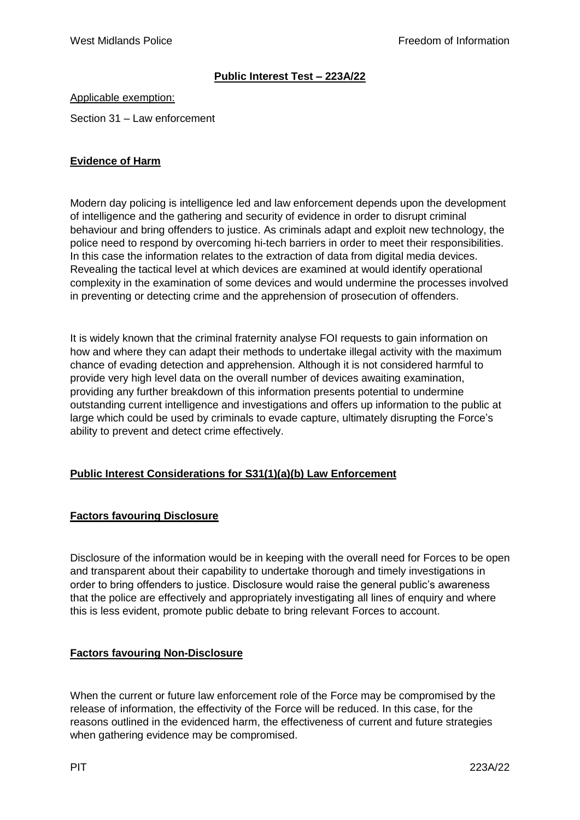## **Public Interest Test – 223A/22**

Applicable exemption:

Section 31 – Law enforcement

### **Evidence of Harm**

Modern day policing is intelligence led and law enforcement depends upon the development of intelligence and the gathering and security of evidence in order to disrupt criminal behaviour and bring offenders to justice. As criminals adapt and exploit new technology, the police need to respond by overcoming hi-tech barriers in order to meet their responsibilities. In this case the information relates to the extraction of data from digital media devices. Revealing the tactical level at which devices are examined at would identify operational complexity in the examination of some devices and would undermine the processes involved in preventing or detecting crime and the apprehension of prosecution of offenders.

It is widely known that the criminal fraternity analyse FOI requests to gain information on how and where they can adapt their methods to undertake illegal activity with the maximum chance of evading detection and apprehension. Although it is not considered harmful to provide very high level data on the overall number of devices awaiting examination, providing any further breakdown of this information presents potential to undermine outstanding current intelligence and investigations and offers up information to the public at large which could be used by criminals to evade capture, ultimately disrupting the Force's ability to prevent and detect crime effectively.

#### **Public Interest Considerations for S31(1)(a)(b) Law Enforcement**

## **Factors favouring Disclosure**

Disclosure of the information would be in keeping with the overall need for Forces to be open and transparent about their capability to undertake thorough and timely investigations in order to bring offenders to justice. Disclosure would raise the general public's awareness that the police are effectively and appropriately investigating all lines of enquiry and where this is less evident, promote public debate to bring relevant Forces to account.

#### **Factors favouring Non-Disclosure**

When the current or future law enforcement role of the Force may be compromised by the release of information, the effectivity of the Force will be reduced. In this case, for the reasons outlined in the evidenced harm, the effectiveness of current and future strategies when gathering evidence may be compromised.